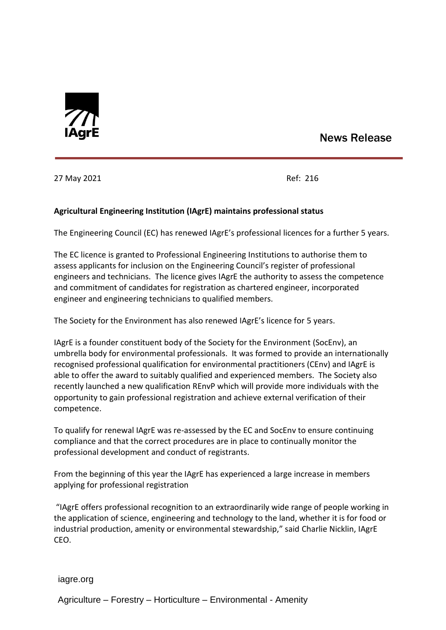

## News Release

27 May 2021 Ref: 216

## **Agricultural Engineering Institution (IAgrE) maintains professional status**

The Engineering Council (EC) has renewed IAgrE's professional licences for a further 5 years.

The EC licence is granted to Professional Engineering Institutions to authorise them to assess applicants for inclusion on the Engineering Council's register of professional engineers and technicians. The licence gives IAgrE the authority to assess the competence and commitment of candidates for registration as chartered engineer, incorporated engineer and engineering technicians to qualified members.

The Society for the Environment has also renewed IAgrE's licence for 5 years.

IAgrE is a founder constituent body of the Society for the Environment (SocEnv), an umbrella body for environmental professionals. It was formed to provide an internationally recognised professional qualification for environmental practitioners (CEnv) and IAgrE is able to offer the award to suitably qualified and experienced members. The Society also recently launched a new qualification REnvP which will provide more individuals with the opportunity to gain professional registration and achieve external verification of their competence.

To qualify for renewal IAgrE was re-assessed by the EC and SocEnv to ensure continuing compliance and that the correct procedures are in place to continually monitor the professional development and conduct of registrants.

From the beginning of this year the IAgrE has experienced a large increase in members applying for professional registration

"IAgrE offers professional recognition to an extraordinarily wide range of people working in the application of science, engineering and technology to the land, whether it is for food or industrial production, amenity or environmental stewardship," said Charlie Nicklin, IAgrE CEO.

iagre.org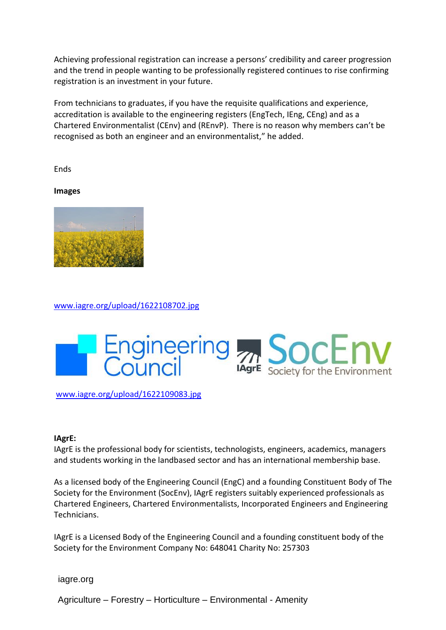Achieving professional registration can increase a persons' credibility and career progression and the trend in people wanting to be professionally registered continues to rise confirming registration is an investment in your future.

From technicians to graduates, if you have the requisite qualifications and experience, accreditation is available to the engineering registers (EngTech, IEng, CEng) and as a Chartered Environmentalist (CEnv) and (REnvP). There is no reason why members can't be recognised as both an engineer and an environmentalist," he added.

Ends

**Images**



[www.iagre.org/upload/1622108702.jpg](http://www.iagre.org/upload/1622108702.jpg)



[www.iagre.org/upload/1622109083.jpg](http://www.iagre.org/upload/1622109083.jpg)

## **IAgrE:**

IAgrE is the professional body for scientists, technologists, engineers, academics, managers and students working in the landbased sector and has an international membership base.

As a licensed body of the Engineering Council (EngC) and a founding Constituent Body of The Society for the Environment (SocEnv), IAgrE registers suitably experienced professionals as Chartered Engineers, Chartered Environmentalists, Incorporated Engineers and Engineering Technicians.

IAgrE is a Licensed Body of the Engineering Council and a founding constituent body of the Society for the Environment Company No: 648041 Charity No: 257303

iagre.org

Agriculture – Forestry – Horticulture – Environmental - Amenity